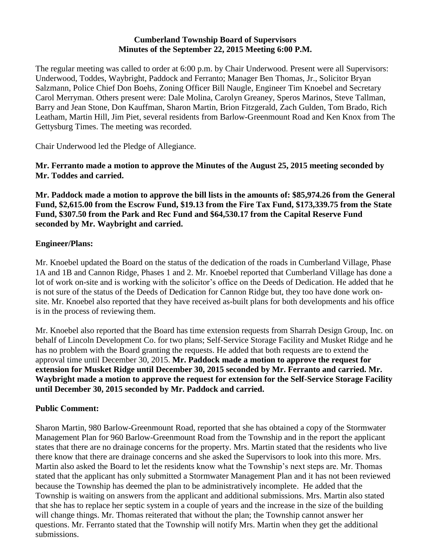#### **Cumberland Township Board of Supervisors Minutes of the September 22, 2015 Meeting 6:00 P.M.**

The regular meeting was called to order at 6:00 p.m. by Chair Underwood. Present were all Supervisors: Underwood, Toddes, Waybright, Paddock and Ferranto; Manager Ben Thomas, Jr., Solicitor Bryan Salzmann, Police Chief Don Boehs, Zoning Officer Bill Naugle, Engineer Tim Knoebel and Secretary Carol Merryman. Others present were: Dale Molina, Carolyn Greaney, Speros Marinos, Steve Tallman, Barry and Jean Stone, Don Kauffman, Sharon Martin, Brion Fitzgerald, Zach Gulden, Tom Brado, Rich Leatham, Martin Hill, Jim Piet, several residents from Barlow-Greenmount Road and Ken Knox from The Gettysburg Times. The meeting was recorded.

Chair Underwood led the Pledge of Allegiance.

**Mr. Ferranto made a motion to approve the Minutes of the August 25, 2015 meeting seconded by Mr. Toddes and carried.**

**Mr. Paddock made a motion to approve the bill lists in the amounts of: \$85,974.26 from the General Fund, \$2,615.00 from the Escrow Fund, \$19.13 from the Fire Tax Fund, \$173,339.75 from the State Fund, \$307.50 from the Park and Rec Fund and \$64,530.17 from the Capital Reserve Fund seconded by Mr. Waybright and carried.**

## **Engineer/Plans:**

Mr. Knoebel updated the Board on the status of the dedication of the roads in Cumberland Village, Phase 1A and 1B and Cannon Ridge, Phases 1 and 2. Mr. Knoebel reported that Cumberland Village has done a lot of work on-site and is working with the solicitor's office on the Deeds of Dedication. He added that he is not sure of the status of the Deeds of Dedication for Cannon Ridge but, they too have done work onsite. Mr. Knoebel also reported that they have received as-built plans for both developments and his office is in the process of reviewing them.

Mr. Knoebel also reported that the Board has time extension requests from Sharrah Design Group, Inc. on behalf of Lincoln Development Co. for two plans; Self-Service Storage Facility and Musket Ridge and he has no problem with the Board granting the requests. He added that both requests are to extend the approval time until December 30, 2015. **Mr. Paddock made a motion to approve the request for extension for Musket Ridge until December 30, 2015 seconded by Mr. Ferranto and carried. Mr. Waybright made a motion to approve the request for extension for the Self-Service Storage Facility until December 30, 2015 seconded by Mr. Paddock and carried.**

# **Public Comment:**

Sharon Martin, 980 Barlow-Greenmount Road, reported that she has obtained a copy of the Stormwater Management Plan for 960 Barlow-Greenmount Road from the Township and in the report the applicant states that there are no drainage concerns for the property. Mrs. Martin stated that the residents who live there know that there are drainage concerns and she asked the Supervisors to look into this more. Mrs. Martin also asked the Board to let the residents know what the Township's next steps are. Mr. Thomas stated that the applicant has only submitted a Stormwater Management Plan and it has not been reviewed because the Township has deemed the plan to be administratively incomplete. He added that the Township is waiting on answers from the applicant and additional submissions. Mrs. Martin also stated that she has to replace her septic system in a couple of years and the increase in the size of the building will change things. Mr. Thomas reiterated that without the plan; the Township cannot answer her questions. Mr. Ferranto stated that the Township will notify Mrs. Martin when they get the additional submissions.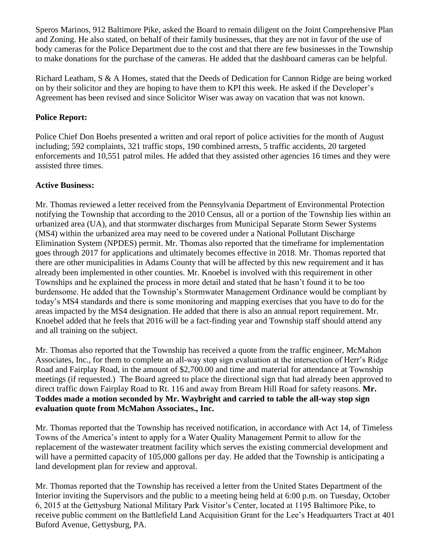Speros Marinos, 912 Baltimore Pike, asked the Board to remain diligent on the Joint Comprehensive Plan and Zoning. He also stated, on behalf of their family businesses, that they are not in favor of the use of body cameras for the Police Department due to the cost and that there are few businesses in the Township to make donations for the purchase of the cameras. He added that the dashboard cameras can be helpful.

Richard Leatham, S & A Homes, stated that the Deeds of Dedication for Cannon Ridge are being worked on by their solicitor and they are hoping to have them to KPI this week. He asked if the Developer's Agreement has been revised and since Solicitor Wiser was away on vacation that was not known.

## **Police Report:**

Police Chief Don Boehs presented a written and oral report of police activities for the month of August including; 592 complaints, 321 traffic stops, 190 combined arrests, 5 traffic accidents, 20 targeted enforcements and 10,551 patrol miles. He added that they assisted other agencies 16 times and they were assisted three times.

## **Active Business:**

Mr. Thomas reviewed a letter received from the Pennsylvania Department of Environmental Protection notifying the Township that according to the 2010 Census, all or a portion of the Township lies within an urbanized area (UA), and that stormwater discharges from Municipal Separate Storm Sewer Systems (MS4) within the urbanized area may need to be covered under a National Pollutant Discharge Elimination System (NPDES) permit. Mr. Thomas also reported that the timeframe for implementation goes through 2017 for applications and ultimately becomes effective in 2018. Mr. Thomas reported that there are other municipalities in Adams County that will be affected by this new requirement and it has already been implemented in other counties. Mr. Knoebel is involved with this requirement in other Townships and he explained the process in more detail and stated that he hasn't found it to be too burdensome. He added that the Township's Stormwater Management Ordinance would be compliant by today's MS4 standards and there is some monitoring and mapping exercises that you have to do for the areas impacted by the MS4 designation. He added that there is also an annual report requirement. Mr. Knoebel added that he feels that 2016 will be a fact-finding year and Township staff should attend any and all training on the subject.

Mr. Thomas also reported that the Township has received a quote from the traffic engineer, McMahon Associates, Inc., for them to complete an all-way stop sign evaluation at the intersection of Herr's Ridge Road and Fairplay Road, in the amount of \$2,700.00 and time and material for attendance at Township meetings (if requested.) The Board agreed to place the directional sign that had already been approved to direct traffic down Fairplay Road to Rt. 116 and away from Bream Hill Road for safety reasons. **Mr. Toddes made a motion seconded by Mr. Waybright and carried to table the all-way stop sign evaluation quote from McMahon Associates., Inc.**

Mr. Thomas reported that the Township has received notification, in accordance with Act 14, of Timeless Towns of the America's intent to apply for a Water Quality Management Permit to allow for the replacement of the wastewater treatment facility which serves the existing commercial development and will have a permitted capacity of 105,000 gallons per day. He added that the Township is anticipating a land development plan for review and approval.

Mr. Thomas reported that the Township has received a letter from the United States Department of the Interior inviting the Supervisors and the public to a meeting being held at 6:00 p.m. on Tuesday, October 6, 2015 at the Gettysburg National Military Park Visitor's Center, located at 1195 Baltimore Pike, to receive public comment on the Battlefield Land Acquisition Grant for the Lee's Headquarters Tract at 401 Buford Avenue, Gettysburg, PA.